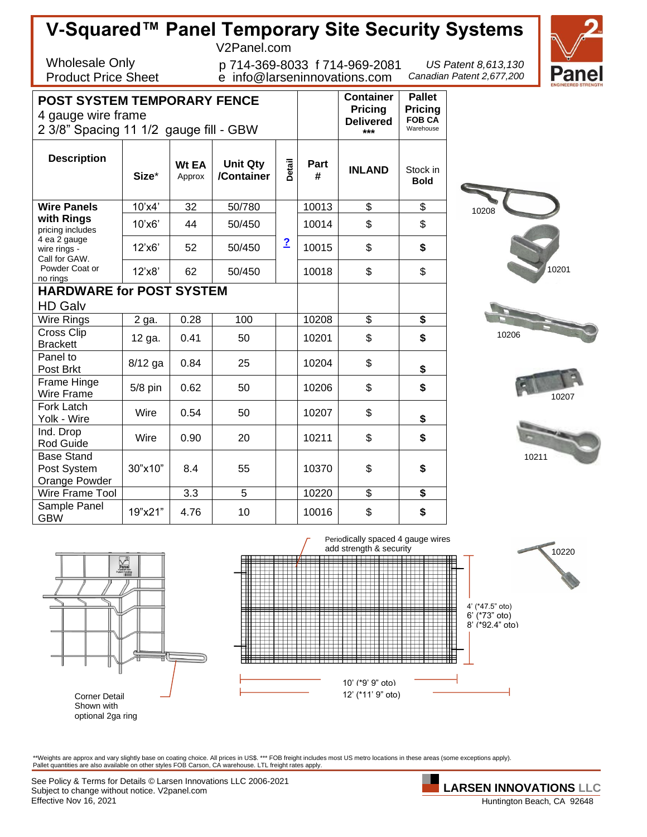



optional 2ga ring

\*\*Weights are approx and vary slightly base on coating choice. All prices in US\$. \*\*\* FOB freight includes most US metro locations in these areas (some exceptions apply).<br>Pallet quantities are also available on other style

See Policy & Terms for Details © Larsen Innovations LLC 2006-2021 Subject to change without notice. V2panel.com Effective Nov 16, 2021

Huntington Beach, CA 92648

**LARSEN INNOVATIONS LLC**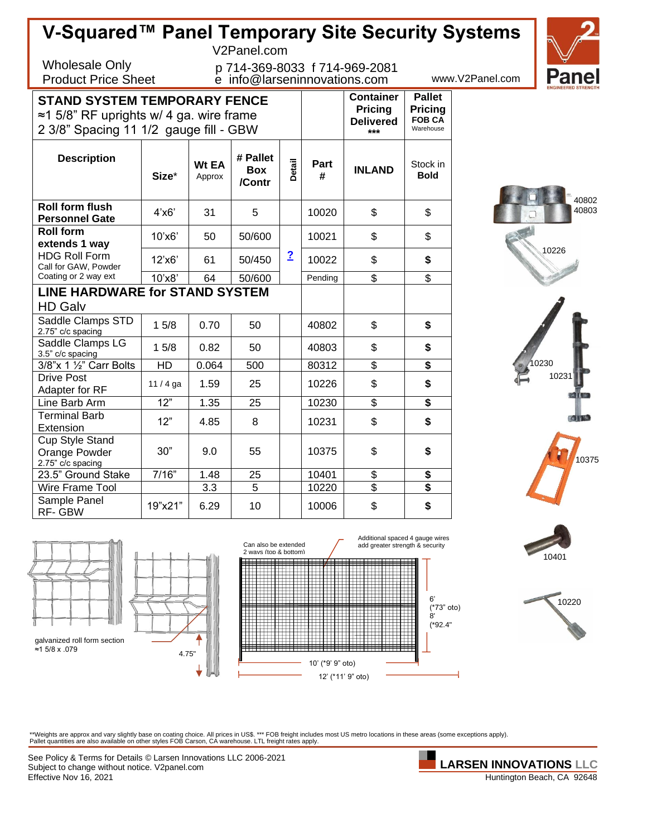| V-Squared™ Panel Temporary Site Security Systems<br>F        |           |                        |                                  |                            |                  |                               |                          |                 |  |  |
|--------------------------------------------------------------|-----------|------------------------|----------------------------------|----------------------------|------------------|-------------------------------|--------------------------|-----------------|--|--|
|                                                              |           |                        | V2Panel.com                      |                            |                  |                               |                          |                 |  |  |
| <b>Wholesale Only</b>                                        |           |                        |                                  |                            |                  |                               |                          |                 |  |  |
| <b>Product Price Sheet</b>                                   |           |                        | e info@larseninnovations.com     |                            |                  | p 714-369-8033 f 714-969-2081 |                          | www.V2Panel.com |  |  |
|                                                              |           |                        |                                  |                            |                  |                               |                          |                 |  |  |
| <b>STAND SYSTEM TEMPORARY FENCE</b>                          |           |                        |                                  |                            | <b>Container</b> | <b>Pallet</b>                 |                          |                 |  |  |
| $\approx$ 1 5/8" RF uprights w/ 4 ga. wire frame             |           |                        | <b>Pricing</b>                   | Pricing                    |                  |                               |                          |                 |  |  |
|                                                              |           |                        | <b>Delivered</b><br>$***$        | <b>FOB CA</b><br>Warehouse |                  |                               |                          |                 |  |  |
| 2 3/8" Spacing 11 1/2 gauge fill - GBW                       |           |                        |                                  |                            |                  |                               |                          |                 |  |  |
| <b>Description</b>                                           | Size*     | <b>Wt EA</b><br>Approx | # Pallet<br><b>Box</b><br>/Contr | Detail                     | Part<br>#        | <b>INLAND</b>                 | Stock in<br><b>Bold</b>  |                 |  |  |
| <b>Roll form flush</b><br><b>Personnel Gate</b>              | 4'x6'     | 31                     | 5                                |                            | 10020            | \$                            | \$                       |                 |  |  |
| <b>Roll form</b>                                             | 10'x6'    | 50                     | 50/600                           |                            | 10021            | \$                            | \$                       |                 |  |  |
| extends 1 way                                                |           |                        |                                  |                            |                  |                               |                          | 10 <sub>2</sub> |  |  |
| <b>HDG Roll Form</b>                                         | 12'x6'    | 61                     | 50/450                           | $\overline{2}$             | 10022            | \$                            | \$                       |                 |  |  |
| Call for GAW, Powder<br>Coating or 2 way ext                 | 10'x8'    | 64                     | 50/600                           |                            | Pending          | $\overline{\$}$               | $\overline{\mathcal{S}}$ |                 |  |  |
| <b>LINE HARDWARE for STAND SYSTEM</b>                        |           |                        |                                  |                            |                  |                               |                          |                 |  |  |
| <b>HD Galv</b>                                               |           |                        |                                  |                            |                  |                               |                          |                 |  |  |
| Saddle Clamps STD<br>2.75" c/c spacing                       | 15/8      | 0.70                   | 50                               |                            | 40802            | \$                            | \$                       |                 |  |  |
| Saddle Clamps LG<br>3.5" c/c spacing                         | 15/8      | 0.82                   | 50                               |                            | 40803            | \$                            | \$                       |                 |  |  |
| 3/8"x 1 1/2" Carr Bolts                                      | <b>HD</b> | 0.064                  | 500                              |                            | 80312            | $\overline{\mathbb{S}}$       | \$                       |                 |  |  |
| <b>Drive Post</b><br>Adapter for RF                          | $11/4$ ga | 1.59                   | 25                               |                            | 10226            | \$                            | \$                       |                 |  |  |
| Line Barb Arm                                                | 12"       | 1.35                   | 25                               |                            | 10230            | \$                            | \$                       |                 |  |  |
| <b>Terminal Barb</b>                                         | 12"       | 4.85                   | 8                                |                            | 10231            | \$                            | \$                       |                 |  |  |
| Extension                                                    |           |                        |                                  |                            |                  |                               |                          |                 |  |  |
| <b>Cup Style Stand</b><br>Orange Powder<br>2.75" c/c spacing | 30"       | 9.0                    | 55                               |                            | 10375            | \$                            | \$                       |                 |  |  |
| 23.5" Ground Stake                                           | 7/16"     | 1.48                   | 25                               |                            | 10401            | \$                            | \$                       |                 |  |  |
| Wire Frame Tool                                              |           | 3.3                    | 5                                |                            | 10220            | \$                            | \$                       |                 |  |  |
| Sample Panel<br>RF-GBW                                       | 19"x21"   | 6.29                   | 10                               |                            | 10006            | \$                            | \$                       |                 |  |  |





10401

10226

40802 40803

**Panel** 

10231

10375

 $\mathbb{Z}$  117%.

\*\*Weights are approx and vary slightly base on coating choice. All prices in US\$. \*\*\* FOB freight includes most US metro locations in these areas (some exceptions apply).<br>Pallet quantities are also available on other style

See Policy & Terms for Details © Larsen Innovations LLC 2006-2021 Subject to change without notice. V2panel.com Effective Nov 16, 2021

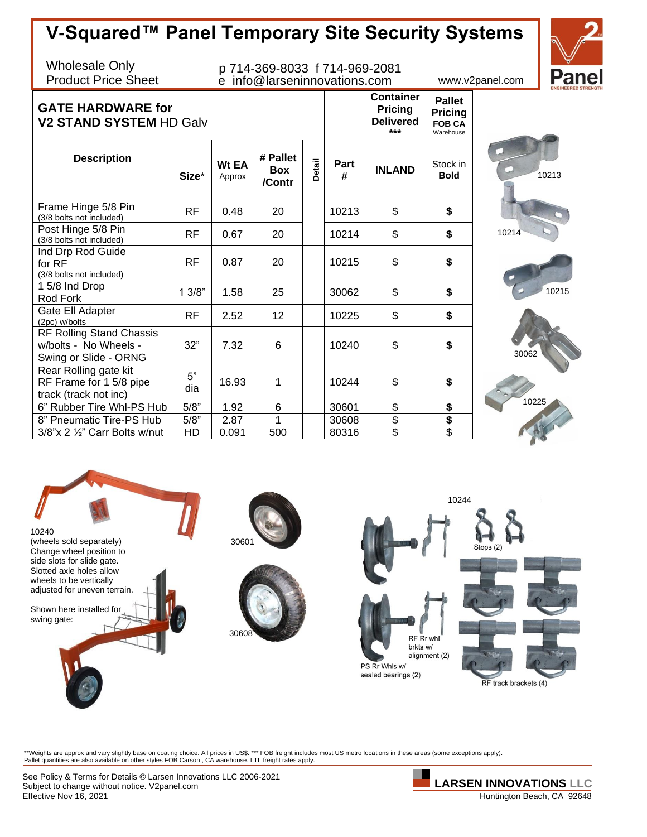## **V-Squared™ Panel Temporary Site Security Systems**

Wholesale Only Product Price Sheet

## p 714-369-8033 f 714-969-2081 e info@larseninnovations.com www.v2panel.com

**Container Pricing**

**Pallet Pricing**



## **GATE HARDWARE for V2 STAND SVSTEM HD Calve**

| V2 STAND SYSTEM HD Galv                                                    |           | <b>Delivered</b><br>*** | <b>FOB CA</b><br>Warehouse       |        |           |               |                         |
|----------------------------------------------------------------------------|-----------|-------------------------|----------------------------------|--------|-----------|---------------|-------------------------|
| <b>Description</b>                                                         | Size*     | Wt EA<br>Approx         | # Pallet<br><b>Box</b><br>/Contr | Detail | Part<br># | <b>INLAND</b> | Stock in<br><b>Bold</b> |
| Frame Hinge 5/8 Pin<br>(3/8 bolts not included)                            | RF        | 0.48                    | 20                               |        | 10213     | \$            | \$                      |
| Post Hinge 5/8 Pin<br>(3/8 bolts not included)                             | RF        | 0.67                    | 20                               |        | 10214     | \$            | \$                      |
| Ind Drp Rod Guide<br>for RF<br>(3/8 bolts not included)                    | RF.       | 0.87                    | 20                               |        | 10215     | \$            | \$                      |
| 15/8 Ind Drop<br>Rod Fork                                                  | 13/8"     | 1.58                    | 25                               |        | 30062     | \$            | \$                      |
| Gate Ell Adapter<br>(2pc) w/bolts                                          | RF        | 2.52                    | 12                               |        | 10225     | \$            | \$                      |
| RF Rolling Stand Chassis<br>w/bolts - No Wheels -<br>Swing or Slide - ORNG | 32"       | 7.32                    | 6                                |        | 10240     | \$            | \$                      |
| Rear Rolling gate kit<br>RF Frame for 1 5/8 pipe<br>track (track not inc)  | 5"<br>dia | 16.93                   | 1                                |        | 10244     | \$            | \$                      |
| 6" Rubber Tire Whl-PS Hub                                                  | 5/8"      | 1.92                    | 6                                |        | 30601     | \$            | \$                      |
| 8" Pneumatic Tire-PS Hub                                                   | 5/8"      | 2.87                    | 1                                |        | 30608     | \$            | $rac{1}{3}$             |
| $3/8$ "x 2 $\frac{1}{2}$ " Carr Bolts w/nut                                | HD        | 0.091                   | 500                              |        | 80316     | \$            |                         |









\*\*Weights are approx and vary slightly base on coating choice. All prices in US\$. \*\*\* FOB freight includes most US metro locations in these areas (some exceptions apply).<br>Pallet quantities are also available on other style

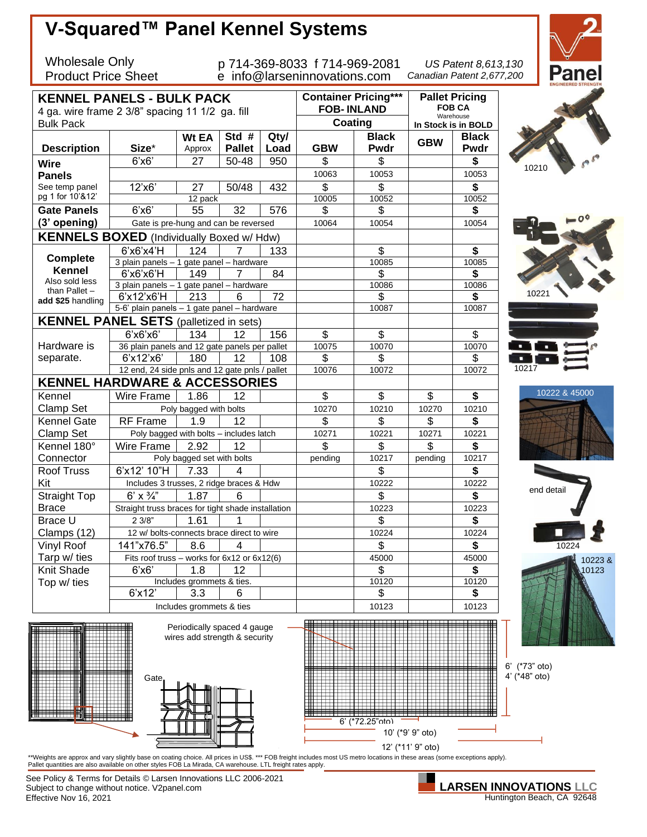

Subject to change without notice. V2panel.com Effective Nov 16, 2021 **Huntington Beach, CA 92648**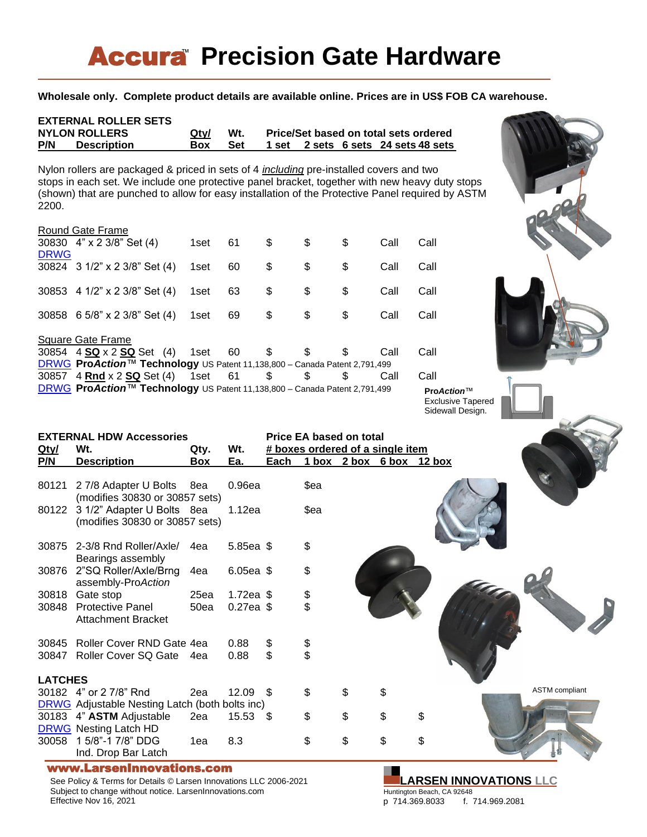# **Accura** Precision Gate Hardware

### **Wholesale only. Complete product details are available online. Prices are in US\$ FOB CA warehouse.**

| <b>EXTERNAL ROLLER SETS</b><br><b>NYLON ROLLERS</b><br>P/N<br><b>Description</b>                                                                                                                                                                                                                              | Qty/<br>Box | Wt.<br><b>Set</b> | 1 set |    |    |      | Price/Set based on total sets ordered<br>2 sets 6 sets 24 sets 48 sets |
|---------------------------------------------------------------------------------------------------------------------------------------------------------------------------------------------------------------------------------------------------------------------------------------------------------------|-------------|-------------------|-------|----|----|------|------------------------------------------------------------------------|
| Nylon rollers are packaged & priced in sets of 4 <i>including</i> pre-installed covers and two<br>stops in each set. We include one protective panel bracket, together with new heavy duty stops<br>(shown) that are punched to allow for easy installation of the Protective Panel required by ASTM<br>2200. |             |                   |       |    |    |      |                                                                        |
| Round Gate Frame<br>30830 4" x 2 3/8" Set (4)                                                                                                                                                                                                                                                                 | 1set        | 61                | \$    | \$ | \$ | Call | Call                                                                   |
| <b>DRWG</b><br>30824 3 1/2" x 2 3/8" Set (4)                                                                                                                                                                                                                                                                  | 1set        | 60                | \$    | \$ | \$ | Call | Call                                                                   |
| 30853 4 1/2" x 2 3/8" Set (4)                                                                                                                                                                                                                                                                                 | 1set        | 63                | \$    | \$ | \$ | Call | Call                                                                   |
| 30858 6 5/8" x 2 3/8" Set (4)                                                                                                                                                                                                                                                                                 | 1set        | 69                | \$    | \$ | \$ | Call | Call                                                                   |
| <b>Square Gate Frame</b><br>4 $SQ \times 2$ $SQ \cdot$ Set (4)<br>30854<br>DRWG ProAction™ Technology US Patent 11,138,800 - Canada Patent 2,791,499                                                                                                                                                          | 1set        | 60                | \$    | \$ | \$ | Call | Call                                                                   |
| 4 Rnd $x$ 2 SQ Set (4) 1 set<br>30857<br>DRWG ProAction™ Technology US Patent 11,138,800 - Canada Patent 2,791,499                                                                                                                                                                                            |             | 61                | \$    | \$ | \$ | Call | Call<br>$ProAction^{\text{TM}}$                                        |

Exclusive Tapered Sidewall Design.



See Policy & Terms for Details © Larsen Innovations LLC 2006-2021 Subject to change without notice. LarsenInnovations.com Effective Nov 16, 2021

### **LARSEN INNOVATIONS LLC** Huntington Beach, CA 92648

p 714.369.8033 f. 714.969.2081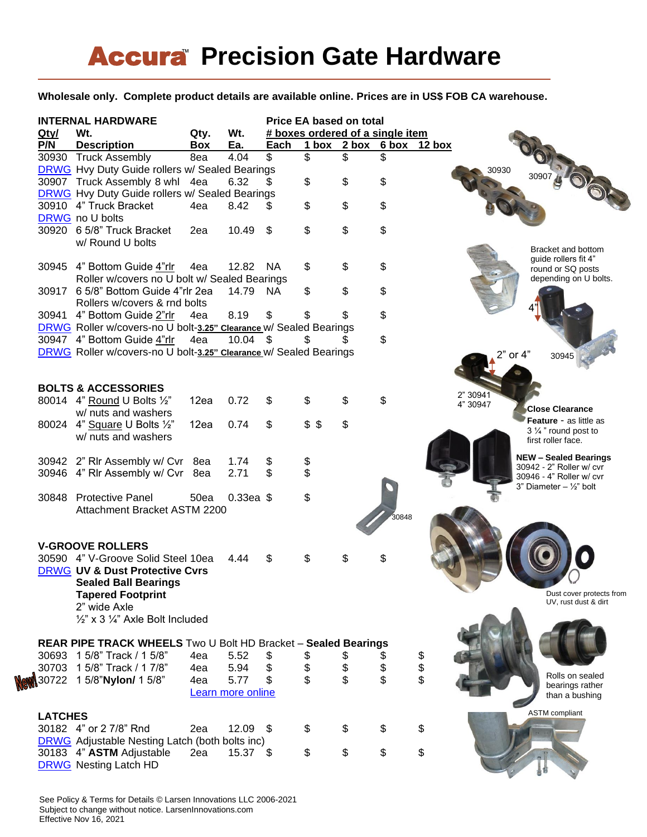# **Accura Precision Gate Hardware**

**Wholesale only. Complete product details are available online. Prices are in US\$ FOB CA warehouse.**

| <b>INTERNAL HARDWARE</b> |                                                                       |      |                   | <b>Price EA based on total</b> |                                  |                          |            |          |                                                  |  |
|--------------------------|-----------------------------------------------------------------------|------|-------------------|--------------------------------|----------------------------------|--------------------------|------------|----------|--------------------------------------------------|--|
| Qty/                     | Wt.                                                                   | Qty. | Wt.               |                                | # boxes ordered of a single item |                          |            |          |                                                  |  |
| P/N                      | <b>Description</b>                                                    | Box  | Ea.               | Each                           |                                  | 1 box 2 box 6 box 12 box |            |          |                                                  |  |
|                          | 30930 Truck Assembly                                                  | 8ea  | 4.04              | \$                             | \$                               | \$                       | \$         |          |                                                  |  |
|                          | DRWG Hvy Duty Guide rollers w/ Sealed Bearings                        |      |                   |                                |                                  |                          |            |          | 30930                                            |  |
|                          | 30907 Truck Assembly 8 whl 4ea                                        |      | 6.32              |                                | \$                               | \$                       | \$         |          | Ob                                               |  |
|                          | <b>DRWG</b> Hvy Duty Guide rollers w/ Sealed Bearings                 |      |                   |                                |                                  |                          |            |          |                                                  |  |
|                          | 30910 4" Truck Bracket                                                | 4ea  | 8.42              | \$                             | \$                               | \$                       | \$         |          |                                                  |  |
|                          | DRWG no U bolts                                                       |      |                   |                                |                                  |                          |            |          |                                                  |  |
|                          | 30920 6 5/8" Truck Bracket                                            | 2ea  | 10.49             | \$                             | \$                               | \$                       | \$         |          |                                                  |  |
|                          | w/ Round U bolts                                                      |      |                   |                                |                                  |                          |            |          |                                                  |  |
|                          |                                                                       |      |                   |                                |                                  |                          |            |          | Bracket and bottom<br>guide rollers fit 4"       |  |
|                          | 30945 4" Bottom Guide 4"rlr                                           | 4ea  | 12.82 NA          |                                | \$                               | \$                       | \$         |          | round or SQ posts                                |  |
|                          | Roller w/covers no U bolt w/ Sealed Bearings                          |      |                   |                                |                                  |                          |            |          | depending on U bolts.                            |  |
|                          | 30917 6 5/8" Bottom Guide 4"rlr 2ea                                   |      | 14.79             | NA.                            | \$                               | \$                       | \$         |          |                                                  |  |
|                          | Rollers w/covers & rnd bolts                                          |      |                   |                                |                                  |                          |            |          |                                                  |  |
|                          | 30941 4" Bottom Guide 2"rlr                                           | 4ea  | 8.19              | \$                             | \$.                              | \$                       | \$         |          |                                                  |  |
|                          | DRWG Roller w/covers-no U bolt-3.25" Clearance w/ Sealed Bearings     |      |                   |                                |                                  |                          |            |          |                                                  |  |
|                          | 30947 4" Bottom Guide 4"rlr                                           | 4ea  | 10.04             | -\$                            |                                  |                          | \$         |          |                                                  |  |
|                          | DRWG Roller w/covers-no U bolt-3.25" Clearance w/ Sealed Bearings     |      |                   |                                |                                  |                          |            |          | 2" or 4"                                         |  |
|                          |                                                                       |      |                   |                                |                                  |                          |            |          | 30945                                            |  |
|                          |                                                                       |      |                   |                                |                                  |                          |            |          |                                                  |  |
|                          | <b>BOLTS &amp; ACCESSORIES</b>                                        |      |                   |                                |                                  |                          |            |          |                                                  |  |
|                          | 80014 4" Round U Bolts 1/2"                                           | 12ea | 0.72              | \$                             | \$                               | \$                       | \$         |          | 2" 30941                                         |  |
|                          | w/ nuts and washers                                                   |      |                   |                                |                                  |                          |            |          | 4" 30947<br><b>Close Clearance</b>               |  |
|                          | 80024 4" Square U Bolts 1/2"                                          | 12ea | 0.74              | \$                             | \$5                              | \$                       |            |          | <b>Feature - as little as</b>                    |  |
|                          | w/ nuts and washers                                                   |      |                   |                                |                                  |                          |            |          | $3\frac{1}{4}$ " round post to                   |  |
|                          |                                                                       |      |                   |                                |                                  |                          |            |          | first roller face.                               |  |
|                          |                                                                       |      | 1.74              |                                |                                  |                          |            |          | <b>NEW - Sealed Bearings</b>                     |  |
|                          | 30942 2" Rir Assembly w/ Cvr 8ea                                      |      |                   | \$<br>\$                       | \$<br>\$                         |                          |            |          | 30942 - 2" Roller w/ cvr                         |  |
|                          | 30946 4" Rir Assembly w/ Cvr 8ea                                      |      | 2.71              |                                |                                  |                          |            |          | 30946 - 4" Roller w/ cvr                         |  |
|                          |                                                                       |      |                   |                                |                                  |                          |            |          | 3" Diameter $-$ 1/2" bolt                        |  |
|                          | 30848 Protective Panel                                                | 50ea | $0.33ea$ \$       |                                | \$                               |                          |            |          |                                                  |  |
|                          | Attachment Bracket ASTM 2200                                          |      |                   |                                |                                  |                          | .<br>30848 |          |                                                  |  |
|                          |                                                                       |      |                   |                                |                                  |                          |            |          |                                                  |  |
|                          |                                                                       |      |                   |                                |                                  |                          |            |          |                                                  |  |
|                          | <b>V-GROOVE ROLLERS</b>                                               |      |                   |                                |                                  |                          |            |          |                                                  |  |
|                          | 30590 4" V-Groove Solid Steel 10ea                                    |      | 4.44              | S                              |                                  | \$                       |            |          |                                                  |  |
|                          | <b>DRWG UV &amp; Dust Protective Cvrs</b>                             |      |                   |                                |                                  |                          |            |          |                                                  |  |
|                          | <b>Sealed Ball Bearings</b>                                           |      |                   |                                |                                  |                          |            |          |                                                  |  |
|                          | <b>Tapered Footprint</b>                                              |      |                   |                                |                                  |                          |            |          | Dust cover protects from<br>UV, rust dust & dirt |  |
|                          | 2" wide Axle                                                          |      |                   |                                |                                  |                          |            |          |                                                  |  |
|                          | $\frac{1}{2}$ " x 3 $\frac{1}{4}$ " Axle Bolt Included                |      |                   |                                |                                  |                          |            |          |                                                  |  |
|                          |                                                                       |      |                   |                                |                                  |                          |            |          |                                                  |  |
|                          | <b>REAR PIPE TRACK WHEELS</b> Two U Bolt HD Bracket - Sealed Bearings |      |                   |                                |                                  |                          |            |          |                                                  |  |
|                          | 30693 1 5/8" Track / 1 5/8"                                           | 4ea  | 5.52              | \$                             | \$                               | \$                       |            |          |                                                  |  |
|                          | 30703 1 5/8" Track / 1 7/8"                                           | 4ea  | 5.94              | \$                             | \$                               | \$                       | \$         | \$<br>\$ |                                                  |  |
| 30722                    | 1 5/8"Nylon/ 1 5/8"                                                   | 4ea  | 5.77              | \$                             | \$                               | \$                       | \$         |          | Rolls on sealed<br>bearings rather               |  |
|                          |                                                                       |      | Learn more online |                                |                                  |                          |            |          | than a bushing                                   |  |
|                          |                                                                       |      |                   |                                |                                  |                          |            |          |                                                  |  |
|                          | <b>LATCHES</b>                                                        |      |                   |                                |                                  |                          |            |          | <b>ASTM</b> compliant                            |  |
|                          | 30182 4" or 2 7/8" Rnd                                                | 2ea  | $12.09$ \$        |                                | \$                               | \$                       | \$         | \$       |                                                  |  |
|                          | <b>DRWG</b> Adjustable Nesting Latch (both bolts inc)                 |      |                   |                                |                                  |                          |            |          |                                                  |  |
|                          | 30183 4" ASTM Adjustable                                              | 2ea  | $15.37$ \$        |                                | \$                               | \$                       | \$         | \$       |                                                  |  |
|                          | <b>DRWG</b> Nesting Latch HD                                          |      |                   |                                |                                  |                          |            |          |                                                  |  |
|                          |                                                                       |      |                   |                                |                                  |                          |            |          |                                                  |  |

See Policy & Terms for Details © Larsen Innovations LLC 2006-2021 Subject to change without notice. LarsenInnovations.com Effective Nov 16, 2021

W